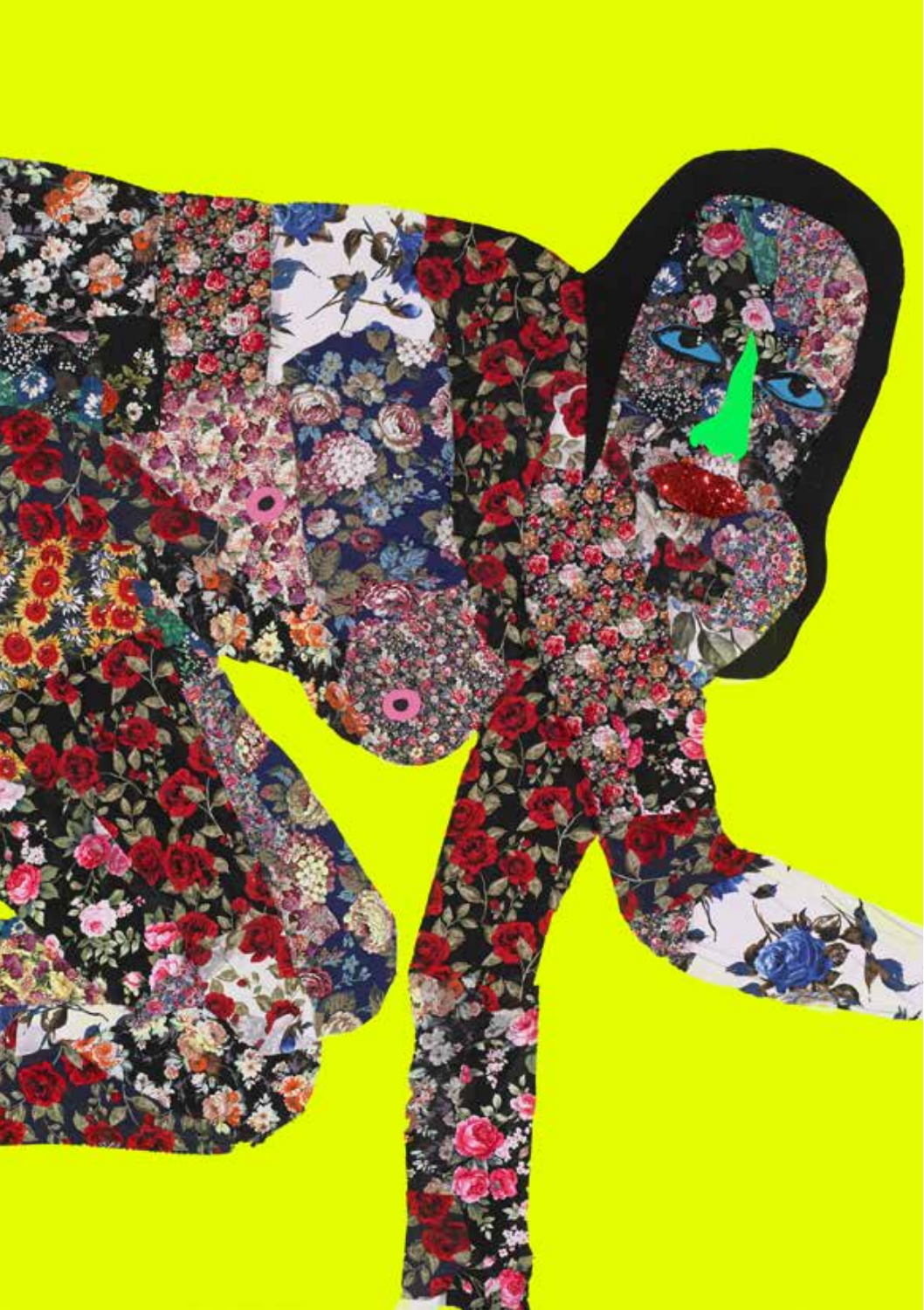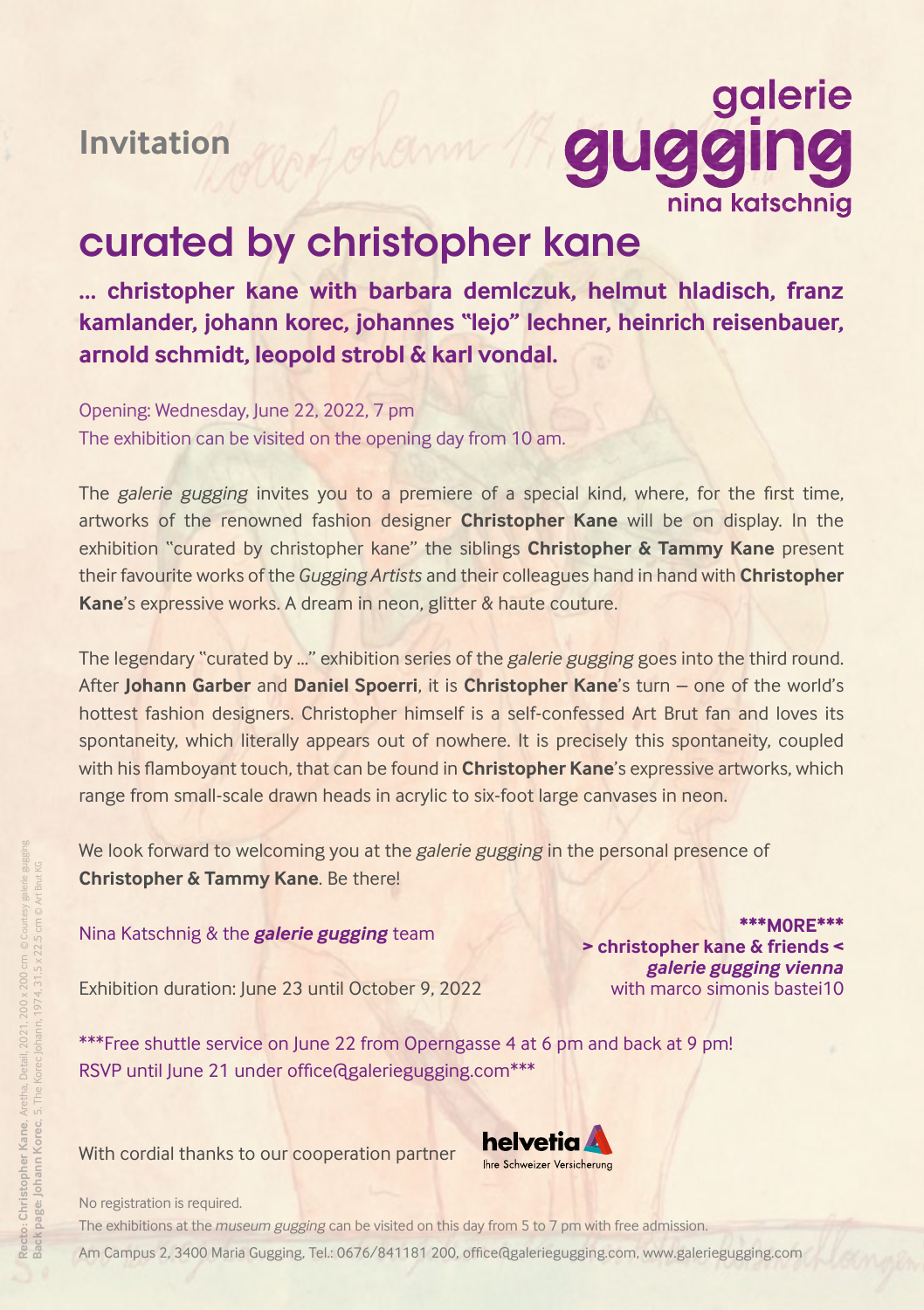

## curated by christopher kane

**… christopher kane with barbara demlczuk, helmut hladisch, franz kamlander, johann korec, johannes "lejo" lechner, heinrich reisenbauer, arnold schmidt, leopold strobl & karl vondal.**

Opening: Wednesday, June 22, 2022, 7 pm The exhibition can be visited on the opening day from 10 am.

The *galerie gugging* invites you to a premiere of a special kind, where, for the first time, artworks of the renowned fashion designer **Christopher Kane** will be on display. In the exhibition "curated by christopher kane" the siblings **Christopher & Tammy Kane** present their favourite works of the *Gugging Artists* and their colleagues hand in hand with **Christopher Kane**'s expressive works. A dream in neon, glitter & haute couture.

The legendary "curated by ..." exhibition series of the *galerie gugging* goes into the third round. After **Johann Garber** and **Daniel Spoerri**, it is **Christopher Kane**'s turn – one of the world's hottest fashion designers. Christopher himself is a self-confessed Art Brut fan and loves its spontaneity, which literally appears out of nowhere. It is precisely this spontaneity, coupled with his flamboyant touch, that can be found in **Christopher Kane**'s expressive artworks, which range from small-scale drawn heads in acrylic to six-foot large canvases in neon.

We look forward to welcoming you at the *galerie gugging* in the personal presence of **Christopher & Tammy Kane**. Be there!

## Nina Katschnig & the *galerie gugging* team

Exhibition duration: June 23 until October 9, 2022

**\*\*\*M0RE\*\*\* > christopher kane & friends <** *galerie gugging vienna* with marco simonis bastei10

\*\*\*Free shuttle service on June 22 from Operngasse 4 at 6 pm and back at 9 pm! RSVP until June 21 under office@galeriegugging.com\*\*\*

With cordial thanks to our cooperation partner



No registration is required.

The exhibitions at the *museum gugging* can be visited on this day from 5 to 7 pm with free admission. Am Campus 2, 3400 Maria Gugging, Tel.: 0676/841181 200, office@galeriegugging.com, www.galeriegugging.com